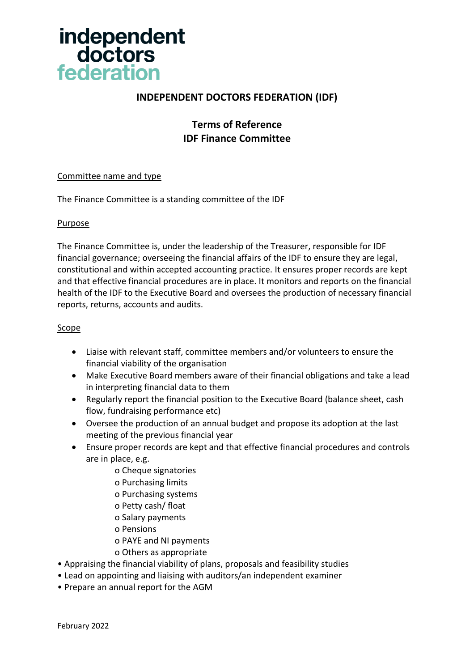

## **INDEPENDENT DOCTORS FEDERATION (IDF)**

## **Terms of Reference IDF Finance Committee**

## Committee name and type

The Finance Committee is a standing committee of the IDF

## Purpose

The Finance Committee is, under the leadership of the Treasurer, responsible for IDF financial governance; overseeing the financial affairs of the IDF to ensure they are legal, constitutional and within accepted accounting practice. It ensures proper records are kept and that effective financial procedures are in place. It monitors and reports on the financial health of the IDF to the Executive Board and oversees the production of necessary financial reports, returns, accounts and audits.

## Scope

- Liaise with relevant staff, committee members and/or volunteers to ensure the financial viability of the organisation
- Make Executive Board members aware of their financial obligations and take a lead in interpreting financial data to them
- Regularly report the financial position to the Executive Board (balance sheet, cash flow, fundraising performance etc)
- Oversee the production of an annual budget and propose its adoption at the last meeting of the previous financial year
- Ensure proper records are kept and that effective financial procedures and controls are in place, e.g.
	- o Cheque signatories
	- o Purchasing limits
	- o Purchasing systems
	- o Petty cash/ float
	- o Salary payments
	- o Pensions
	- o PAYE and NI payments
	- o Others as appropriate
- Appraising the financial viability of plans, proposals and feasibility studies
- Lead on appointing and liaising with auditors/an independent examiner
- Prepare an annual report for the AGM